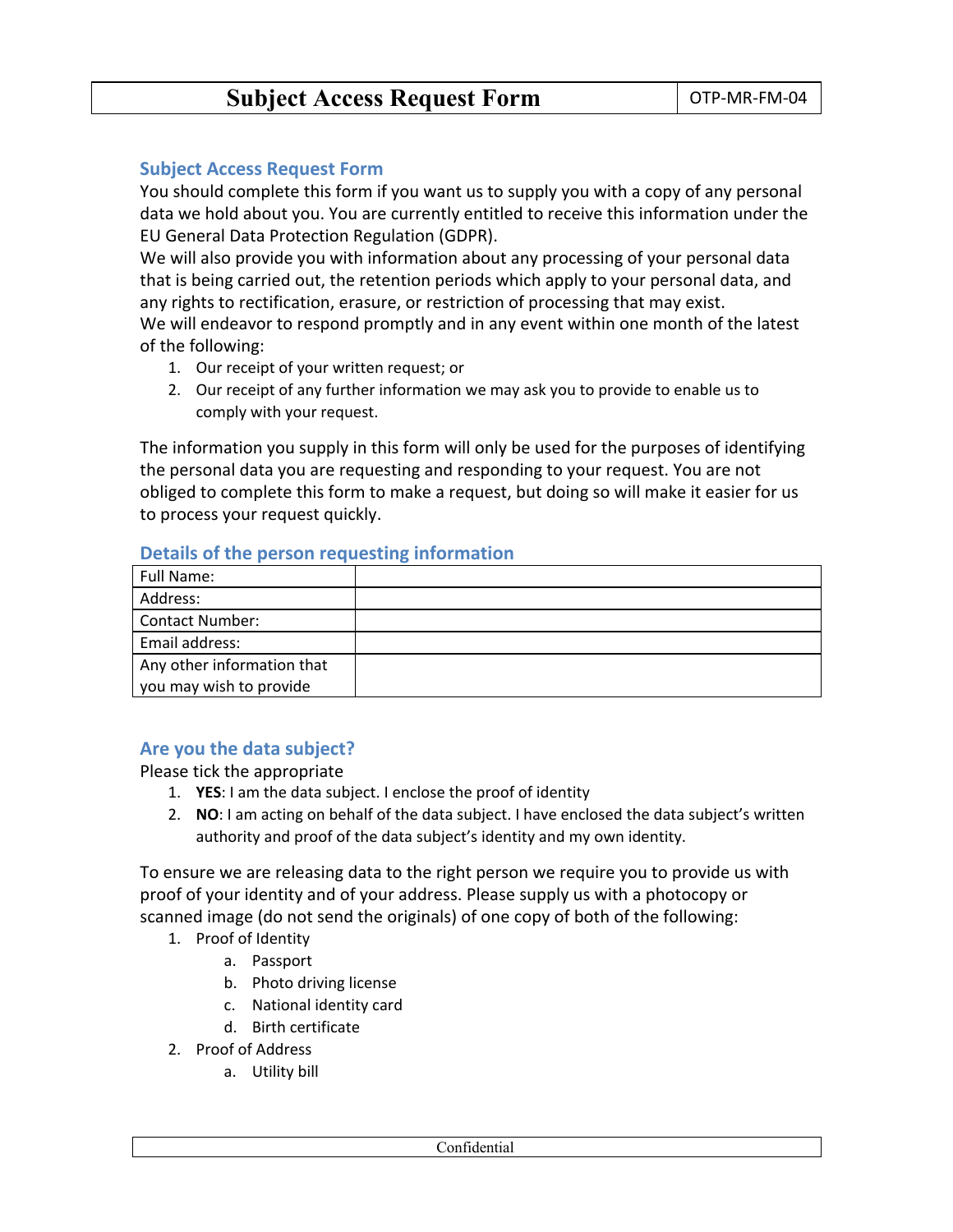# **Subject Access Request Form** | OTP-MR-FM-04

#### **Subject Access Request Form**

You should complete this form if you want us to supply you with a copy of any personal data we hold about you. You are currently entitled to receive this information under the EU General Data Protection Regulation (GDPR).

We will also provide you with information about any processing of your personal data that is being carried out, the retention periods which apply to your personal data, and any rights to rectification, erasure, or restriction of processing that may exist.

We will endeavor to respond promptly and in any event within one month of the latest of the following:

- 1. Our receipt of your written request; or
- 2. Our receipt of any further information we may ask you to provide to enable us to comply with your request.

The information you supply in this form will only be used for the purposes of identifying the personal data you are requesting and responding to your request. You are not obliged to complete this form to make a request, but doing so will make it easier for us to process your request quickly.

#### **Details of the person requesting information**

| Full Name:                 |  |
|----------------------------|--|
| Address:                   |  |
| <b>Contact Number:</b>     |  |
| Email address:             |  |
| Any other information that |  |
| you may wish to provide    |  |

#### **Are you the data subject?**

Please tick the appropriate

- 1. **YES**: I am the data subject. I enclose the proof of identity
- 2. **NO**: I am acting on behalf of the data subject. I have enclosed the data subject's written authority and proof of the data subject's identity and my own identity.

To ensure we are releasing data to the right person we require you to provide us with proof of your identity and of your address. Please supply us with a photocopy or scanned image (do not send the originals) of one copy of both of the following:

- 1. Proof of Identity
	- a. Passport
	- b. Photo driving license
	- c. National identity card
	- d. Birth certificate
- 2. Proof of Address
	- a. Utility bill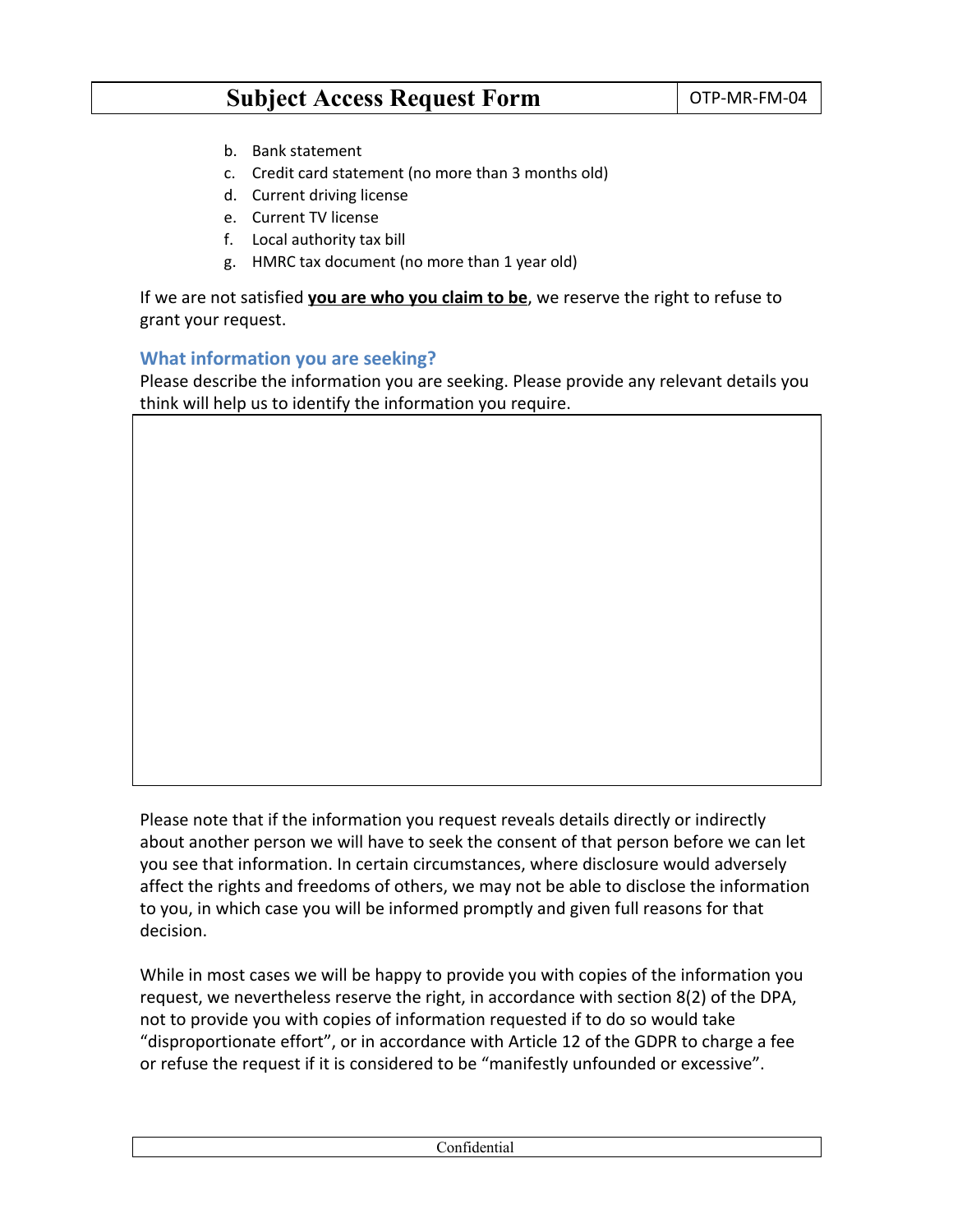# **Subject Access Request Form**  $\vert$  OTP-MR-FM-04

- b. Bank statement
- c. Credit card statement (no more than 3 months old)
- d. Current driving license
- e. Current TV license
- f. Local authority tax bill
- g. HMRC tax document (no more than 1 year old)

If we are not satisfied **you are who you claim to be**, we reserve the right to refuse to grant your request.

#### **What information you are seeking?**

Please describe the information you are seeking. Please provide any relevant details you think will help us to identify the information you require.

Please note that if the information you request reveals details directly or indirectly about another person we will have to seek the consent of that person before we can let you see that information. In certain circumstances, where disclosure would adversely affect the rights and freedoms of others, we may not be able to disclose the information to you, in which case you will be informed promptly and given full reasons for that decision.

While in most cases we will be happy to provide you with copies of the information you request, we nevertheless reserve the right, in accordance with section 8(2) of the DPA, not to provide you with copies of information requested if to do so would take "disproportionate effort", or in accordance with Article 12 of the GDPR to charge a fee or refuse the request if it is considered to be "manifestly unfounded or excessive".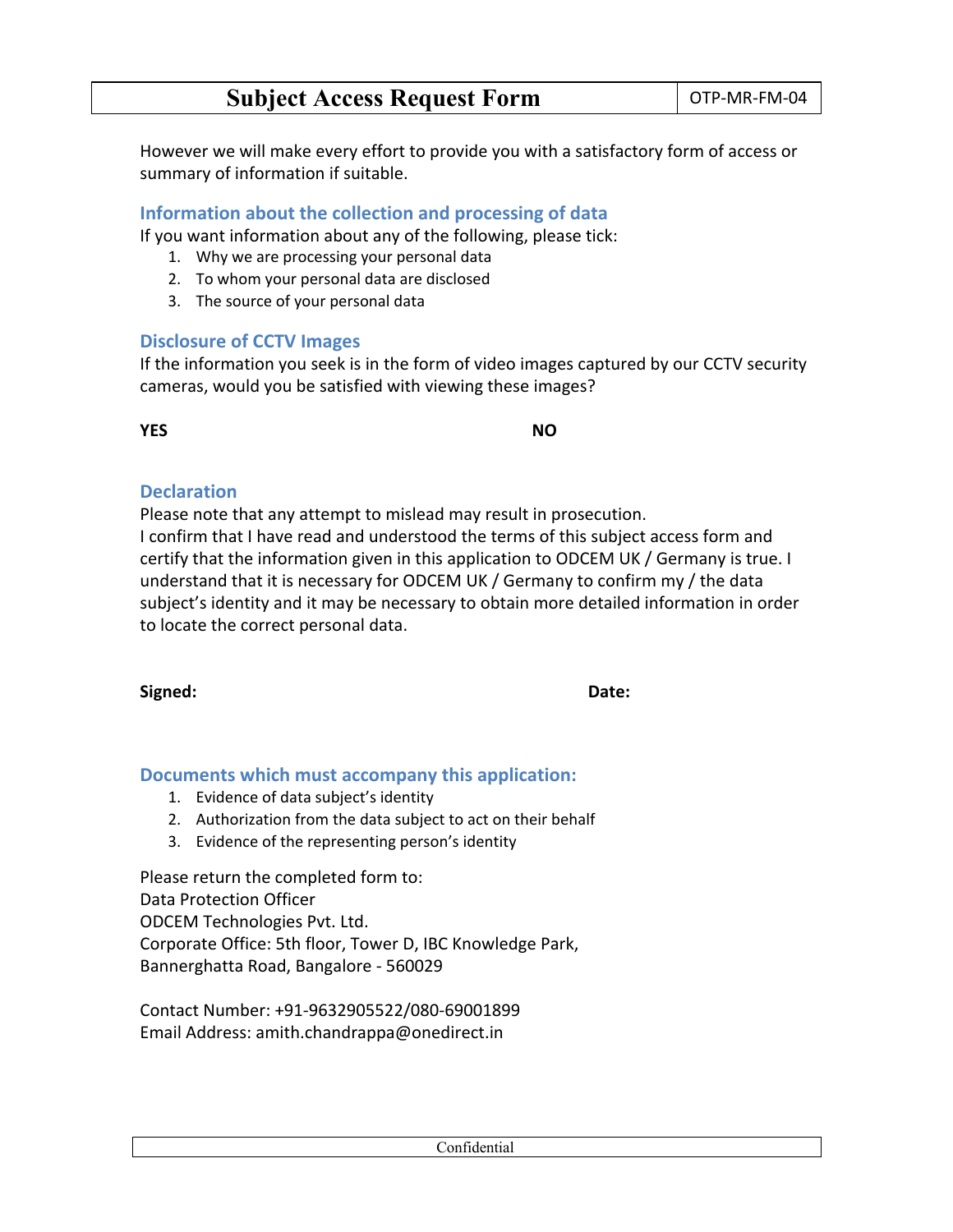However we will make every effort to provide you with a satisfactory form of access or summary of information if suitable.

### **Information about the collection and processing of data**

If you want information about any of the following, please tick:

- 1. Why we are processing your personal data
- 2. To whom your personal data are disclosed
- 3. The source of your personal data

#### **Disclosure of CCTV Images**

If the information you seek is in the form of video images captured by our CCTV security cameras, would you be satisfied with viewing these images?

**YES NO**

### **Declaration**

Please note that any attempt to mislead may result in prosecution.

I confirm that I have read and understood the terms of this subject access form and certify that the information given in this application to ODCEM UK / Germany is true. I understand that it is necessary for ODCEM UK / Germany to confirm my / the data subject's identity and it may be necessary to obtain more detailed information in order to locate the correct personal data.

**Signed: Date:**

#### **Documents which must accompany this application:**

- 1. Evidence of data subject's identity
- 2. Authorization from the data subject to act on their behalf
- 3. Evidence of the representing person's identity

Please return the completed form to: Data Protection Officer ODCEM Technologies Pvt. Ltd. Corporate Office: 5th floor, Tower D, IBC Knowledge Park, Bannerghatta Road, Bangalore - 560029

Contact Number: +91-9632905522/080-69001899 Email Address: amith.chandrappa@onedirect.in